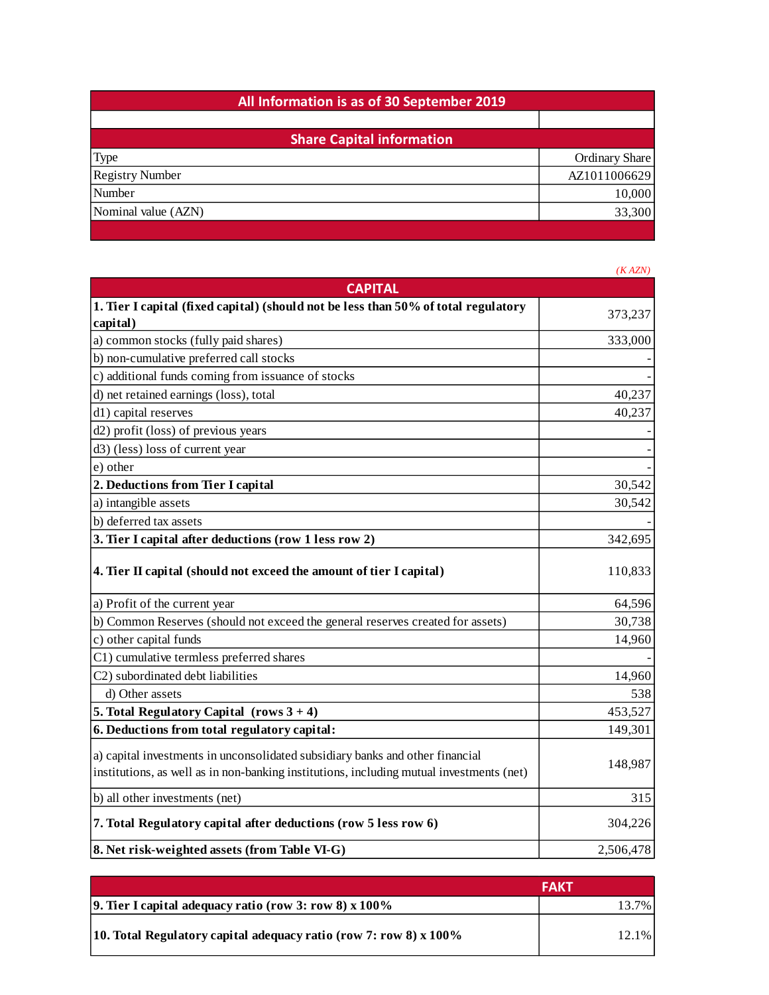| All Information is as of 30 September 2019 |                       |  |
|--------------------------------------------|-----------------------|--|
|                                            |                       |  |
| <b>Share Capital information</b>           |                       |  |
| <b>Type</b>                                | <b>Ordinary Share</b> |  |
| <b>Registry Number</b>                     | AZ1011006629          |  |
| Number                                     | 10,000                |  |
| Nominal value (AZN)                        | 33,300                |  |
|                                            |                       |  |

|                                                                                                                                                                           | (KAZN)    |
|---------------------------------------------------------------------------------------------------------------------------------------------------------------------------|-----------|
| <b>CAPITAL</b>                                                                                                                                                            |           |
| 1. Tier I capital (fixed capital) (should not be less than 50% of total regulatory                                                                                        |           |
| capital)                                                                                                                                                                  | 373,237   |
| a) common stocks (fully paid shares)                                                                                                                                      | 333,000   |
| b) non-cumulative preferred call stocks                                                                                                                                   |           |
| c) additional funds coming from issuance of stocks                                                                                                                        |           |
| d) net retained earnings (loss), total                                                                                                                                    | 40,237    |
| d1) capital reserves                                                                                                                                                      | 40,237    |
| d2) profit (loss) of previous years                                                                                                                                       |           |
| d3) (less) loss of current year                                                                                                                                           |           |
| e) other                                                                                                                                                                  |           |
| 2. Deductions from Tier I capital                                                                                                                                         | 30,542    |
| a) intangible assets                                                                                                                                                      | 30,542    |
| b) deferred tax assets                                                                                                                                                    |           |
| 3. Tier I capital after deductions (row 1 less row 2)                                                                                                                     | 342,695   |
| 4. Tier II capital (should not exceed the amount of tier I capital)                                                                                                       | 110,833   |
| a) Profit of the current year                                                                                                                                             | 64,596    |
| b) Common Reserves (should not exceed the general reserves created for assets)                                                                                            | 30,738    |
| c) other capital funds                                                                                                                                                    | 14,960    |
| C1) cumulative termless preferred shares                                                                                                                                  |           |
| C2) subordinated debt liabilities                                                                                                                                         | 14,960    |
| d) Other assets                                                                                                                                                           | 538       |
| 5. Total Regulatory Capital $(rows 3 + 4)$                                                                                                                                | 453,527   |
| 6. Deductions from total regulatory capital:                                                                                                                              | 149,301   |
| a) capital investments in unconsolidated subsidiary banks and other financial<br>institutions, as well as in non-banking institutions, including mutual investments (net) | 148,987   |
| b) all other investments (net)                                                                                                                                            | 315       |
| 7. Total Regulatory capital after deductions (row 5 less row 6)                                                                                                           | 304,226   |
| 8. Net risk-weighted assets (from Table VI-G)                                                                                                                             | 2,506,478 |

|                                                                     | FAKT  |
|---------------------------------------------------------------------|-------|
| <b>9. Tier I capital adequacy ratio (row 3: row 8) x 100%</b>       | 13.7% |
| 10. Total Regulatory capital adequacy ratio (row 7: row 8) $x$ 100% | 12.1% |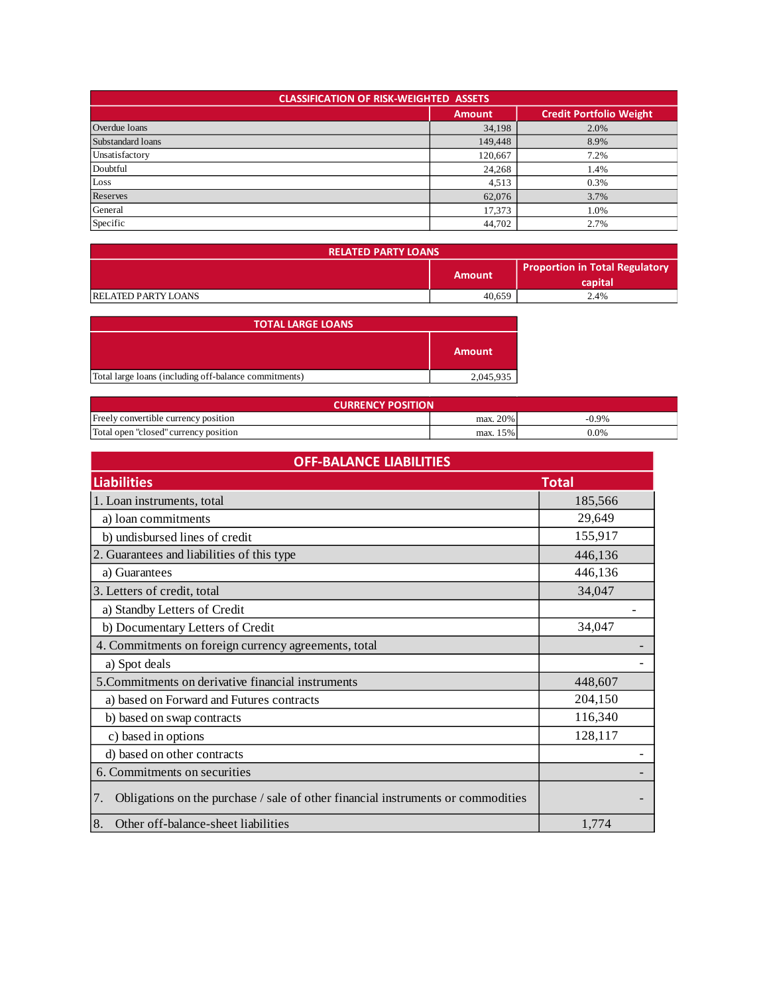| <b>CLASSIFICATION OF RISK-WEIGHTED ASSETS</b> |               |                                |  |
|-----------------------------------------------|---------------|--------------------------------|--|
|                                               | <b>Amount</b> | <b>Credit Portfolio Weight</b> |  |
| Overdue loans                                 | 34,198        | 2.0%                           |  |
| Substandard loans                             | 149,448       | 8.9%                           |  |
| Unsatisfactory                                | 120,667       | 7.2%                           |  |
| Doubtful                                      | 24,268        | 1.4%                           |  |
| Loss                                          | 4,513         | 0.3%                           |  |
| Reserves                                      | 62,076        | 3.7%                           |  |
| General                                       | 17,373        | 1.0%                           |  |
| Specific                                      | 44,702        | 2.7%                           |  |

| <b>RELATED PARTY LOANS</b> |        |                                                  |
|----------------------------|--------|--------------------------------------------------|
|                            | Amount | <b>Proportion in Total Regulatory</b><br>capital |
| <b>RELATED PARTY LOANS</b> | 40,659 | 2.4%                                             |

| <b>TOTAL LARGE LOANS</b>                              |               |
|-------------------------------------------------------|---------------|
|                                                       | <b>Amount</b> |
| Total large loans (including off-balance commitments) | 2,045,935     |

| <b>CURRENCY POSITION</b>              |             |          |  |
|---------------------------------------|-------------|----------|--|
| Freely convertible currency position  | max. 20%    | $-0.9\%$ |  |
| Total open "closed" currency position | 15%<br>max. | 0.0%     |  |

| <b>OFF-BALANCE LIABILITIES</b>                                                         |              |  |
|----------------------------------------------------------------------------------------|--------------|--|
| <b>Liabilities</b>                                                                     | <b>Total</b> |  |
| 1. Loan instruments, total                                                             | 185,566      |  |
| a) loan commitments                                                                    | 29,649       |  |
| b) undisbursed lines of credit                                                         | 155,917      |  |
| 2. Guarantees and liabilities of this type                                             | 446,136      |  |
| a) Guarantees                                                                          | 446,136      |  |
| 3. Letters of credit, total                                                            | 34,047       |  |
| a) Standby Letters of Credit                                                           |              |  |
| b) Documentary Letters of Credit                                                       | 34,047       |  |
| 4. Commitments on foreign currency agreements, total                                   |              |  |
| a) Spot deals                                                                          |              |  |
| 5. Commitments on derivative financial instruments                                     | 448,607      |  |
| a) based on Forward and Futures contracts                                              | 204,150      |  |
| b) based on swap contracts                                                             | 116,340      |  |
| c) based in options                                                                    | 128,117      |  |
| d) based on other contracts                                                            |              |  |
| 6. Commitments on securities                                                           |              |  |
| Obligations on the purchase / sale of other financial instruments or commodities<br>7. |              |  |
| Other off-balance-sheet liabilities<br>8.                                              | 1,774        |  |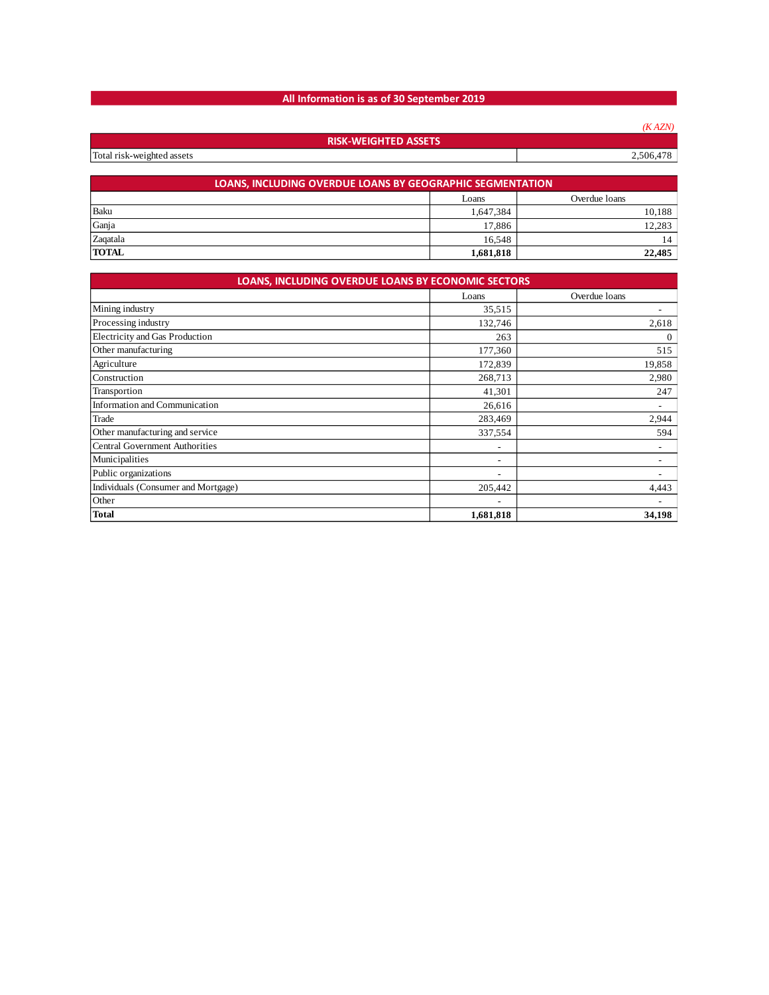## **All Information is as of 30 September 2019**

|                                 |                                                                  | (KAZN)        |
|---------------------------------|------------------------------------------------------------------|---------------|
|                                 | <b>RISK-WEIGHTED ASSETS</b>                                      |               |
| Total risk-weighted assets      |                                                                  | 2,506,478     |
|                                 |                                                                  |               |
|                                 | <b>LOANS, INCLUDING OVERDUE LOANS BY GEOGRAPHIC SEGMENTATION</b> |               |
|                                 | Loans                                                            | Overdue loans |
| Baku                            | 1,647,384                                                        | 10,188        |
| Ganja                           | 17,886                                                           | 12,283        |
| Zaqatala                        | 16,548                                                           | 14            |
| <b>TOTAL</b>                    | 1,681,818                                                        | 22,485        |
|                                 |                                                                  |               |
|                                 | LOANS, INCLUDING OVERDUE LOANS BY ECONOMIC SECTORS               |               |
|                                 | Loans                                                            | Overdue loans |
| Mining industry                 | 35,515                                                           |               |
| Processing industry             | 132,746                                                          | 2,618         |
| Electricity and Gas Production  | 263                                                              | $\mathbf{0}$  |
| Other manufacturing             | 177,360                                                          | 515           |
| Agriculture                     | 172,839                                                          | 19,858        |
| Construction                    | 268,713                                                          | 2,980         |
| Transportion                    | 41,301                                                           | 247           |
| Information and Communication   | 26,616                                                           |               |
| Trade                           | 283,469                                                          | 2,944         |
| Other manufacturing and service | 337,554                                                          | 594           |
|                                 |                                                                  |               |

| <b>Trade</b>                        | 283.469                  | 2.944 |
|-------------------------------------|--------------------------|-------|
| Other manufacturing and service     | 337,554                  | 594   |
| Central Government Authorities      | $\overline{\phantom{0}}$ |       |
| Municipalities                      | $\overline{\phantom{0}}$ |       |
| Public organizations                | $\overline{\phantom{a}}$ |       |
| Individuals (Consumer and Mortgage) | 205,442                  | 4.443 |
| Other                               | $\overline{\phantom{a}}$ |       |

**Total 1,681,818 34,198**